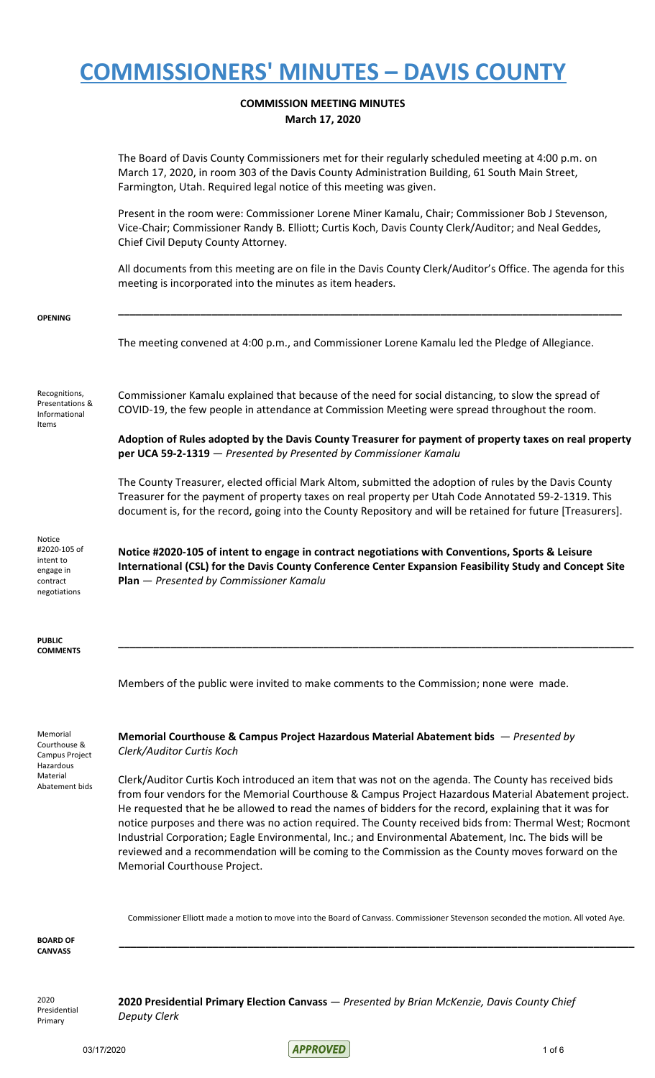### **COMMISSION MEETING MINUTES March 17, 2020**

|                                                                                       | The Board of Davis County Commissioners met for their regularly scheduled meeting at 4:00 p.m. on<br>March 17, 2020, in room 303 of the Davis County Administration Building, 61 South Main Street,<br>Farmington, Utah. Required legal notice of this meeting was given.                                                                                                                                                                                                                                                                                                                                                                                                        |
|---------------------------------------------------------------------------------------|----------------------------------------------------------------------------------------------------------------------------------------------------------------------------------------------------------------------------------------------------------------------------------------------------------------------------------------------------------------------------------------------------------------------------------------------------------------------------------------------------------------------------------------------------------------------------------------------------------------------------------------------------------------------------------|
|                                                                                       | Present in the room were: Commissioner Lorene Miner Kamalu, Chair; Commissioner Bob J Stevenson,<br>Vice-Chair; Commissioner Randy B. Elliott; Curtis Koch, Davis County Clerk/Auditor; and Neal Geddes,<br>Chief Civil Deputy County Attorney.                                                                                                                                                                                                                                                                                                                                                                                                                                  |
|                                                                                       | All documents from this meeting are on file in the Davis County Clerk/Auditor's Office. The agenda for this<br>meeting is incorporated into the minutes as item headers.                                                                                                                                                                                                                                                                                                                                                                                                                                                                                                         |
| <b>OPENING</b>                                                                        | The meeting convened at 4:00 p.m., and Commissioner Lorene Kamalu led the Pledge of Allegiance.                                                                                                                                                                                                                                                                                                                                                                                                                                                                                                                                                                                  |
| Recognitions,<br>Presentations &<br>Informational<br>Items                            | Commissioner Kamalu explained that because of the need for social distancing, to slow the spread of<br>COVID-19, the few people in attendance at Commission Meeting were spread throughout the room.                                                                                                                                                                                                                                                                                                                                                                                                                                                                             |
|                                                                                       | Adoption of Rules adopted by the Davis County Treasurer for payment of property taxes on real property<br>per UCA 59-2-1319 - Presented by Presented by Commissioner Kamalu                                                                                                                                                                                                                                                                                                                                                                                                                                                                                                      |
|                                                                                       | The County Treasurer, elected official Mark Altom, submitted the adoption of rules by the Davis County<br>Treasurer for the payment of property taxes on real property per Utah Code Annotated 59-2-1319. This<br>document is, for the record, going into the County Repository and will be retained for future [Treasurers].                                                                                                                                                                                                                                                                                                                                                    |
| Notice<br>#2020-105 of<br>intent to<br>engage in<br>contract<br>negotiations          | Notice #2020-105 of intent to engage in contract negotiations with Conventions, Sports & Leisure<br>International (CSL) for the Davis County Conference Center Expansion Feasibility Study and Concept Site<br><b>Plan</b> - Presented by Commissioner Kamalu                                                                                                                                                                                                                                                                                                                                                                                                                    |
| <b>PUBLIC</b><br><b>COMMENTS</b>                                                      |                                                                                                                                                                                                                                                                                                                                                                                                                                                                                                                                                                                                                                                                                  |
|                                                                                       | Members of the public were invited to make comments to the Commission; none were made.                                                                                                                                                                                                                                                                                                                                                                                                                                                                                                                                                                                           |
| Memorial<br>Courthouse &<br>Campus Project<br>Hazardous<br>Material<br>Abatement bids | Memorial Courthouse & Campus Project Hazardous Material Abatement bids — Presented by<br>Clerk/Auditor Curtis Koch                                                                                                                                                                                                                                                                                                                                                                                                                                                                                                                                                               |
|                                                                                       | Clerk/Auditor Curtis Koch introduced an item that was not on the agenda. The County has received bids<br>from four vendors for the Memorial Courthouse & Campus Project Hazardous Material Abatement project.<br>He requested that he be allowed to read the names of bidders for the record, explaining that it was for<br>notice purposes and there was no action required. The County received bids from: Thermal West; Rocmont<br>Industrial Corporation; Eagle Environmental, Inc.; and Environmental Abatement, Inc. The bids will be<br>reviewed and a recommendation will be coming to the Commission as the County moves forward on the<br>Memorial Courthouse Project. |

Commissioner Elliott made a motion to move into the Board of Canvass. Commissioner Stevenson seconded the motion. All voted Aye.

**\_\_\_\_\_\_\_\_\_\_\_\_\_\_\_\_\_\_\_\_\_\_\_\_\_\_\_\_\_\_\_\_\_\_\_\_\_\_\_\_\_\_\_\_\_\_\_\_\_\_\_\_\_\_\_\_\_\_\_\_\_\_\_\_\_\_\_\_\_\_\_\_\_\_\_\_\_\_\_\_\_\_\_\_\_\_\_\_**

**BOARD OF CANVASS**

2020 Presidential Primary

**2020 Presidential Primary Election Canvass** — *Presented by Brian McKenzie, Davis County Chief Deputy Clerk*

 $03/17/2020$  1 of 6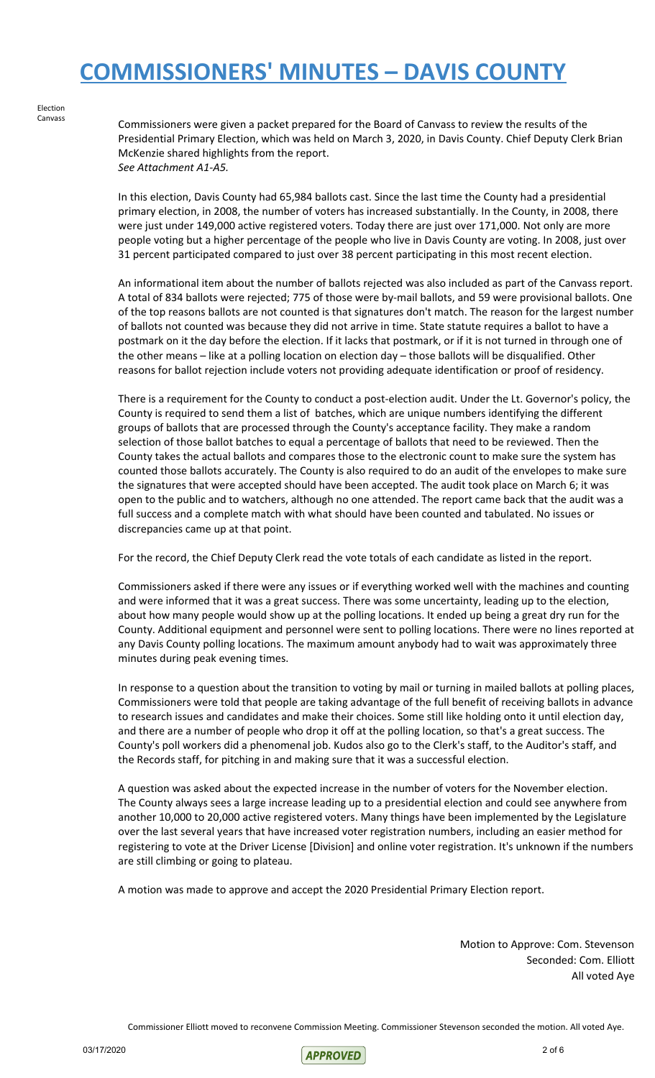Election Canvass

Commissioners were given a packet prepared for the Board of Canvass to review the results of the Presidential Primary Election, which was held on March 3, 2020, in Davis County. Chief Deputy Clerk Brian McKenzie shared highlights from the report. *See Attachment A1-A5.*

In this election, Davis County had 65,984 ballots cast. Since the last time the County had a presidential primary election, in 2008, the number of voters has increased substantially. In the County, in 2008, there were just under 149,000 active registered voters. Today there are just over 171,000. Not only are more people voting but a higher percentage of the people who live in Davis County are voting. In 2008, just over 31 percent participated compared to just over 38 percent participating in this most recent election.

An informational item about the number of ballots rejected was also included as part of the Canvass report. A total of 834 ballots were rejected; 775 of those were by-mail ballots, and 59 were provisional ballots. One of the top reasons ballots are not counted is that signatures don't match. The reason for the largest number of ballots not counted was because they did not arrive in time. State statute requires a ballot to have a postmark on it the day before the election. If it lacks that postmark, or if it is not turned in through one of the other means – like at a polling location on election day – those ballots will be disqualified. Other reasons for ballot rejection include voters not providing adequate identification or proof of residency.

There is a requirement for the County to conduct a post-election audit. Under the Lt. Governor's policy, the County is required to send them a list of batches, which are unique numbers identifying the different groups of ballots that are processed through the County's acceptance facility. They make a random selection of those ballot batches to equal a percentage of ballots that need to be reviewed. Then the County takes the actual ballots and compares those to the electronic count to make sure the system has counted those ballots accurately. The County is also required to do an audit of the envelopes to make sure the signatures that were accepted should have been accepted. The audit took place on March 6; it was open to the public and to watchers, although no one attended. The report came back that the audit was a full success and a complete match with what should have been counted and tabulated. No issues or discrepancies came up at that point.

For the record, the Chief Deputy Clerk read the vote totals of each candidate as listed in the report.

Commissioners asked if there were any issues or if everything worked well with the machines and counting and were informed that it was a great success. There was some uncertainty, leading up to the election, about how many people would show up at the polling locations. It ended up being a great dry run for the County. Additional equipment and personnel were sent to polling locations. There were no lines reported at any Davis County polling locations. The maximum amount anybody had to wait was approximately three minutes during peak evening times.

In response to a question about the transition to voting by mail or turning in mailed ballots at polling places, Commissioners were told that people are taking advantage of the full benefit of receiving ballots in advance to research issues and candidates and make their choices. Some still like holding onto it until election day, and there are a number of people who drop it off at the polling location, so that's a great success. The County's poll workers did a phenomenal job. Kudos also go to the Clerk's staff, to the Auditor's staff, and the Records staff, for pitching in and making sure that it was a successful election.

A question was asked about the expected increase in the number of voters for the November election. The County always sees a large increase leading up to a presidential election and could see anywhere from another 10,000 to 20,000 active registered voters. Many things have been implemented by the Legislature over the last several years that have increased voter registration numbers, including an easier method for registering to vote at the Driver License [Division] and online voter registration. It's unknown if the numbers are still climbing or going to plateau.

A motion was made to approve and accept the 2020 Presidential Primary Election report.

Motion to Approve: Com. Stevenson Seconded: Com. Elliott All voted Aye

Commissioner Elliott moved to reconvene Commission Meeting. Commissioner Stevenson seconded the motion. All voted Aye.

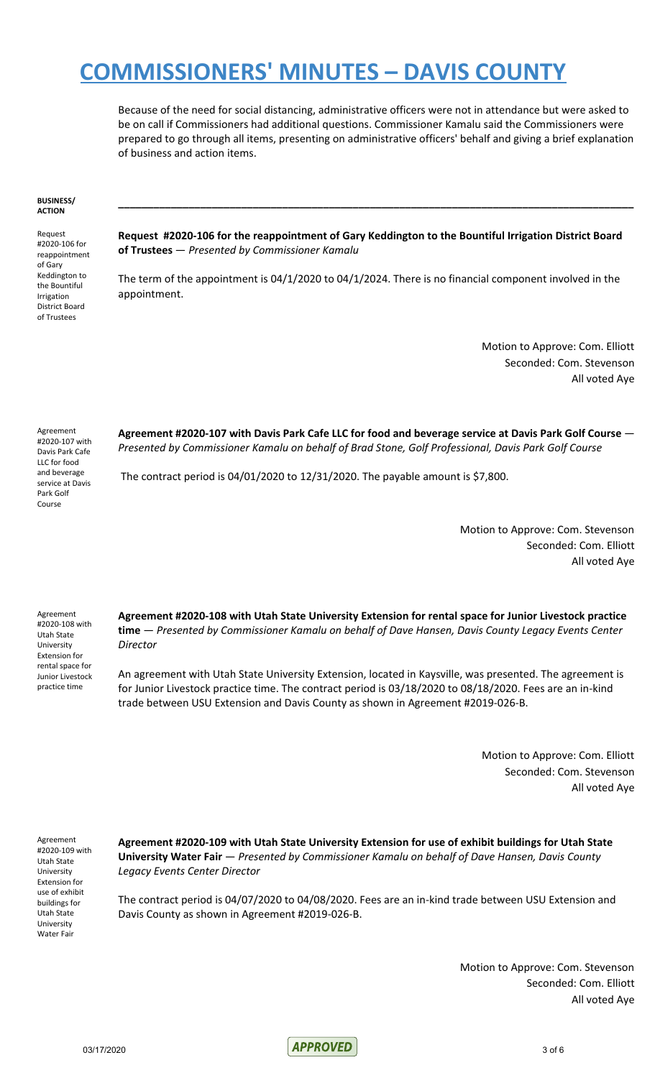Because of the need for social distancing, administrative officers were not in attendance but were asked to be on call if Commissioners had additional questions. Commissioner Kamalu said the Commissioners were prepared to go through all items, presenting on administrative officers' behalf and giving a brief explanation of business and action items.

#### **BUSINESS/ ACTION**

Request #2020-106 for reappointment of Gary Keddington to the Bountiful Irrigation District Board of Trustees

**Request #2020-106 for the reappointment of Gary Keddington to the Bountiful Irrigation District Board of Trustees** — *Presented by Commissioner Kamalu*

**\_\_\_\_\_\_\_\_\_\_\_\_\_\_\_\_\_\_\_\_\_\_\_\_\_\_\_\_\_\_\_\_\_\_\_\_\_\_\_\_\_\_\_\_\_\_\_\_\_\_\_\_\_\_\_\_\_\_\_\_\_\_\_\_\_\_\_\_\_\_\_\_\_\_\_\_\_\_\_\_\_\_\_\_\_\_\_\_**

The term of the appointment is 04/1/2020 to 04/1/2024. There is no financial component involved in the appointment.

> Motion to Approve: Com. Elliott Seconded: Com. Stevenson All voted Aye

Agreement #2020-107 with Davis Park Cafe LLC for food and beverage service at Davis Park Golf Course

**Agreement #2020-107 with Davis Park Cafe LLC for food and beverage service at Davis Park Golf Course** — *Presented by Commissioner Kamalu on behalf of Brad Stone, Golf Professional, Davis Park Golf Course*

The contract period is 04/01/2020 to 12/31/2020. The payable amount is \$7,800.

Motion to Approve: Com. Stevenson Seconded: Com. Elliott All voted Aye

Agreement #2020-108 with Utah State University Extension for rental space for Junior Livestock practice time

**Agreement #2020-108 with Utah State University Extension for rental space for Junior Livestock practice time** — *Presented by Commissioner Kamalu on behalf of Dave Hansen, Davis County Legacy Events Center Director*

An agreement with Utah State University Extension, located in Kaysville, was presented. The agreement is for Junior Livestock practice time. The contract period is 03/18/2020 to 08/18/2020. Fees are an in-kind trade between USU Extension and Davis County as shown in Agreement #2019-026-B.

> Motion to Approve: Com. Elliott Seconded: Com. Stevenson All voted Aye

Agreement #2020-109 with Utah State University Extension for use of exhibit buildings for Utah State University Water Fair

**Agreement #2020-109 with Utah State University Extension for use of exhibit buildings for Utah State University Water Fair** — *Presented by Commissioner Kamalu on behalf of Dave Hansen, Davis County Legacy Events Center Director*

The contract period is 04/07/2020 to 04/08/2020. Fees are an in-kind trade between USU Extension and Davis County as shown in Agreement #2019-026-B.

> Motion to Approve: Com. Stevenson Seconded: Com. Elliott All voted Aye

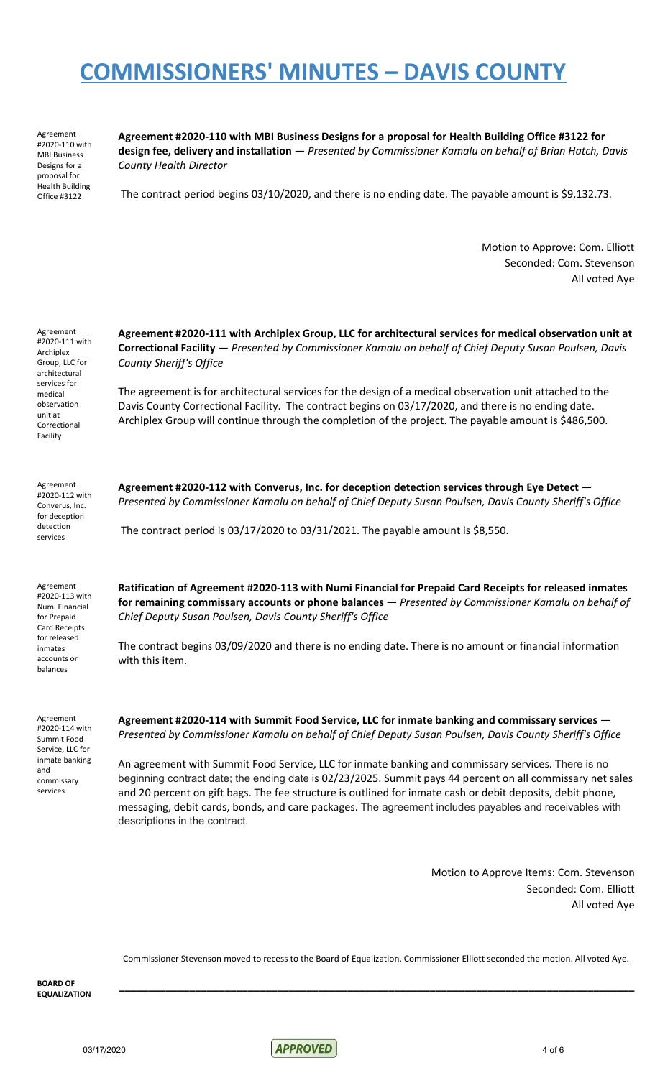Agreement #2020-110 with MBI Business Designs for a proposal for Health Building Office #3122

**Agreement #2020-110 with MBI Business Designs for a proposal for Health Building Office #3122 for design fee, delivery and installation** — *Presented by Commissioner Kamalu on behalf of Brian Hatch, Davis County Health Director*

The contract period begins 03/10/2020, and there is no ending date. The payable amount is \$9,132.73.

Motion to Approve: Com. Elliott Seconded: Com. Stevenson All voted Aye

Agreement #2020-111 with Archiplex Group, LLC for architectural services for medical observation unit at Correctional Facility

Agreement #2020-112 with Converus, Inc. for deception detection services

**Agreement #2020-111 with Archiplex Group, LLC for architectural services for medical observation unit at Correctional Facility** — *Presented by Commissioner Kamalu on behalf of Chief Deputy Susan Poulsen, Davis County Sheriff's Office*

The agreement is for architectural services for the design of a medical observation unit attached to the Davis County Correctional Facility. The contract begins on 03/17/2020, and there is no ending date. Archiplex Group will continue through the completion of the project. The payable amount is \$486,500.

**Agreement #2020-112 with Converus, Inc. for deception detection services through Eye Detect** — *Presented by Commissioner Kamalu on behalf of Chief Deputy Susan Poulsen, Davis County Sheriff's Office*

The contract period is 03/17/2020 to 03/31/2021. The payable amount is \$8,550.

Agreement #2020-113 with Numi Financial for Prepaid Card Receipts for released inmates accounts or balances

Agreement #2020-114 with Summit Food Service, LLC for inmate banking and commissary services

**Ratification of Agreement #2020-113 with Numi Financial for Prepaid Card Receipts for released inmates for remaining commissary accounts or phone balances** — *Presented by Commissioner Kamalu on behalf of Chief Deputy Susan Poulsen, Davis County Sheriff's Office*

The contract begins 03/09/2020 and there is no ending date. There is no amount or financial information with this item.

**Agreement #2020-114 with Summit Food Service, LLC for inmate banking and commissary services** — *Presented by Commissioner Kamalu on behalf of Chief Deputy Susan Poulsen, Davis County Sheriff's Office*

An agreement with Summit Food Service, LLC for inmate banking and commissary services. There is no beginning contract date; the ending date is 02/23/2025. Summit pays 44 percent on all commissary net sales and 20 percent on gift bags. The fee structure is outlined for inmate cash or debit deposits, debit phone, messaging, debit cards, bonds, and care packages. The agreement includes payables and receivables with descriptions in the contract.

> Motion to Approve Items: Com. Stevenson Seconded: Com. Elliott All voted Aye

Commissioner Stevenson moved to recess to the Board of Equalization. Commissioner Elliott seconded the motion. All voted Aye.

**\_\_\_\_\_\_\_\_\_\_\_\_\_\_\_\_\_\_\_\_\_\_\_\_\_\_\_\_\_\_\_\_\_\_\_\_\_\_\_\_\_\_\_\_\_\_\_\_\_\_\_\_\_\_\_\_\_\_\_\_\_\_\_\_\_\_\_\_\_\_\_\_\_\_\_\_\_\_\_\_\_\_\_\_\_\_\_\_**

**BOARD OF EQUALIZATION**

03/17/2020 4 of 6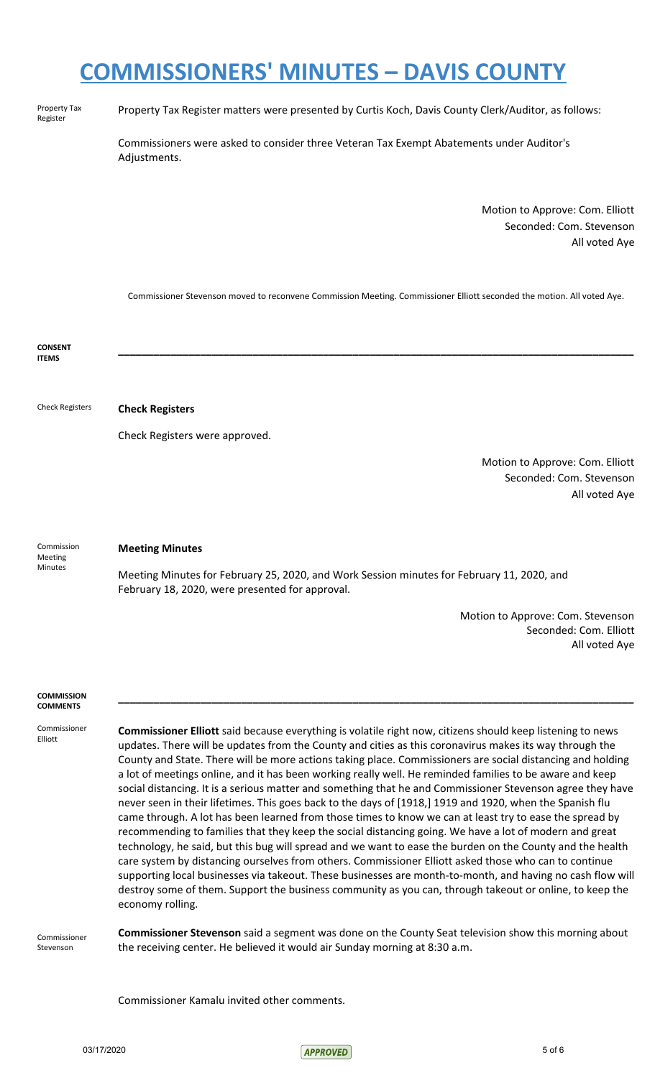Property Tax Register

Property Tax Register matters were presented by Curtis Koch, Davis County Clerk/Auditor, as follows:

Commissioners were asked to consider three Veteran Tax Exempt Abatements under Auditor's Adjustments.

> Motion to Approve: Com. Elliott Seconded: Com. Stevenson All voted Aye

Commissioner Stevenson moved to reconvene Commission Meeting. Commissioner Elliott seconded the motion. All voted Aye.

**CONSENT ITEMS \_\_\_\_\_\_\_\_\_\_\_\_\_\_\_\_\_\_\_\_\_\_\_\_\_\_\_\_\_\_\_\_\_\_\_\_\_\_\_\_\_\_\_\_\_\_\_\_\_\_\_\_\_\_\_\_\_\_\_\_\_\_\_\_\_\_\_\_\_\_\_\_\_\_\_\_\_\_\_\_\_\_\_\_\_\_\_\_** Check Registers **Check Registers** Check Registers were approved. Motion to Approve: Com. Elliott Seconded: Com. Stevenson All voted Aye Commission Meeting Minutes **Meeting Minutes** Meeting Minutes for February 25, 2020, and Work Session minutes for February 11, 2020, and February 18, 2020, were presented for approval. Motion to Approve: Com. Stevenson Seconded: Com. Elliott All voted Aye **COMMISSION COMMENTS \_\_\_\_\_\_\_\_\_\_\_\_\_\_\_\_\_\_\_\_\_\_\_\_\_\_\_\_\_\_\_\_\_\_\_\_\_\_\_\_\_\_\_\_\_\_\_\_\_\_\_\_\_\_\_\_\_\_\_\_\_\_\_\_\_\_\_\_\_\_\_\_\_\_\_\_\_\_\_\_\_\_\_\_\_\_\_\_** Commissioner Elliott Commissioner Stevenson **Commissioner Elliott** said because everything is volatile right now, citizens should keep listening to news updates. There will be updates from the County and cities as this coronavirus makes its way through the County and State. There will be more actions taking place. Commissioners are social distancing and holding a lot of meetings online, and it has been working really well. He reminded families to be aware and keep social distancing. It is a serious matter and something that he and Commissioner Stevenson agree they have never seen in their lifetimes. This goes back to the days of [1918,] 1919 and 1920, when the Spanish flu came through. A lot has been learned from those times to know we can at least try to ease the spread by recommending to families that they keep the social distancing going. We have a lot of modern and great technology, he said, but this bug will spread and we want to ease the burden on the County and the health care system by distancing ourselves from others. Commissioner Elliott asked those who can to continue supporting local businesses via takeout. These businesses are month-to-month, and having no cash flow will destroy some of them. Support the business community as you can, through takeout or online, to keep the economy rolling. **Commissioner Stevenson** said a segment was done on the County Seat television show this morning about the receiving center. He believed it would air Sunday morning at 8:30 a.m. Commissioner Kamalu invited other comments.